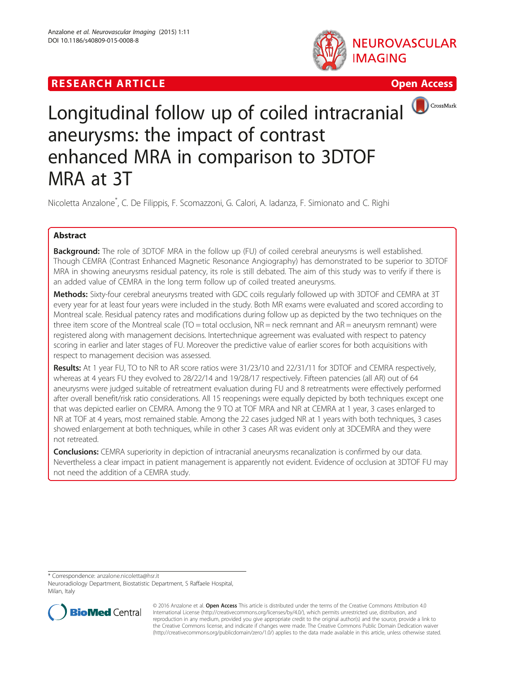# **RESEARCH ARTICLE EXECUTE: CONSIDERING A RESEARCH ARTICLE**





# Longitudinal follow up of coiled intracranial aneurysms: the impact of contrast enhanced MRA in comparison to 3DTOF MRA at 3T

Nicoletta Anzalone\* , C. De Filippis, F. Scomazzoni, G. Calori, A. Iadanza, F. Simionato and C. Righi

## Abstract

**Background:** The role of 3DTOF MRA in the follow up (FU) of coiled cerebral aneurysms is well established. Though CEMRA (Contrast Enhanced Magnetic Resonance Angiography) has demonstrated to be superior to 3DTOF MRA in showing aneurysms residual patency, its role is still debated. The aim of this study was to verify if there is an added value of CEMRA in the long term follow up of coiled treated aneurysms.

Methods: Sixty-four cerebral aneurysms treated with GDC coils regularly followed up with 3DTOF and CEMRA at 3T every year for at least four years were included in the study. Both MR exams were evaluated and scored according to Montreal scale. Residual patency rates and modifications during follow up as depicted by the two techniques on the three item score of the Montreal scale (TO = total occlusion, NR = neck remnant and AR = aneurysm remnant) were registered along with management decisions. Intertechnique agreement was evaluated with respect to patency scoring in earlier and later stages of FU. Moreover the predictive value of earlier scores for both acquisitions with respect to management decision was assessed.

Results: At 1 year FU, TO to NR to AR score ratios were 31/23/10 and 22/31/11 for 3DTOF and CEMRA respectively, whereas at 4 years FU they evolved to 28/22/14 and 19/28/17 respectively. Fifteen patencies (all AR) out of 64 aneurysms were judged suitable of retreatment evaluation during FU and 8 retreatments were effectively performed after overall benefit/risk ratio considerations. All 15 reopenings were equally depicted by both techniques except one that was depicted earlier on CEMRA. Among the 9 TO at TOF MRA and NR at CEMRA at 1 year, 3 cases enlarged to NR at TOF at 4 years, most remained stable. Among the 22 cases judged NR at 1 years with both techniques, 3 cases showed enlargement at both techniques, while in other 3 cases AR was evident only at 3DCEMRA and they were not retreated.

**Conclusions:** CEMRA superiority in depiction of intracranial aneurysms recanalization is confirmed by our data. Nevertheless a clear impact in patient management is apparently not evident. Evidence of occlusion at 3DTOF FU may not need the addition of a CEMRA study.

\* Correspondence: [anzalone.nicoletta@hsr.it](mailto:anzalone.nicoletta@hsr.it)

Neuroradiology Department, Biostatistic Department, S Raffaele Hospital, Milan, Italy



© 2016 Anzalone et al. Open Access This article is distributed under the terms of the Creative Commons Attribution 4.0 International License [\(http://creativecommons.org/licenses/by/4.0/](http://creativecommons.org/licenses/by/4.0/)), which permits unrestricted use, distribution, and reproduction in any medium, provided you give appropriate credit to the original author(s) and the source, provide a link to the Creative Commons license, and indicate if changes were made. The Creative Commons Public Domain Dedication waiver [\(http://creativecommons.org/publicdomain/zero/1.0/](http://creativecommons.org/publicdomain/zero/1.0/)) applies to the data made available in this article, unless otherwise stated.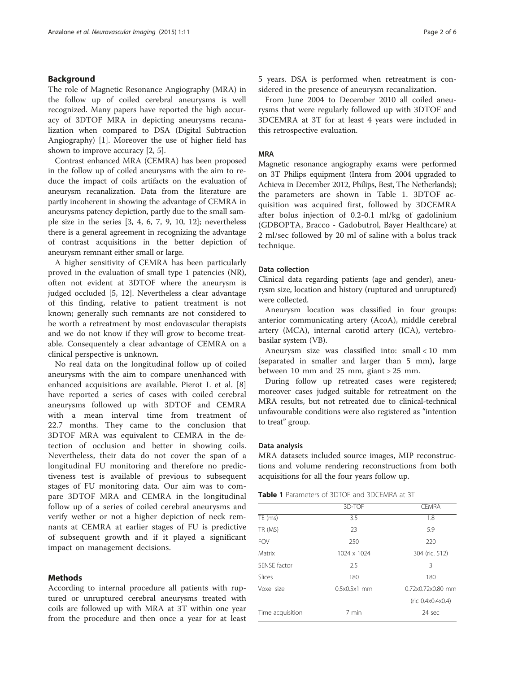#### Background

The role of Magnetic Resonance Angiography (MRA) in the follow up of coiled cerebral aneurysms is well recognized. Many papers have reported the high accuracy of 3DTOF MRA in depicting aneurysms recanalization when compared to DSA (Digital Subtraction Angiography) [[1\]](#page-5-0). Moreover the use of higher field has shown to improve accuracy [\[2](#page-5-0), [5](#page-5-0)].

Contrast enhanced MRA (CEMRA) has been proposed in the follow up of coiled aneurysms with the aim to reduce the impact of coils artifacts on the evaluation of aneurysm recanalization. Data from the literature are partly incoherent in showing the advantage of CEMRA in aneurysms patency depiction, partly due to the small sample size in the series [\[3](#page-5-0), [4, 6, 7, 9](#page-5-0), [10](#page-5-0), [12](#page-5-0)]; nevertheless there is a general agreement in recognizing the advantage of contrast acquisitions in the better depiction of aneurysm remnant either small or large.

A higher sensitivity of CEMRA has been particularly proved in the evaluation of small type 1 patencies (NR), often not evident at 3DTOF where the aneurysm is judged occluded [[5, 12\]](#page-5-0). Nevertheless a clear advantage of this finding, relative to patient treatment is not known; generally such remnants are not considered to be worth a retreatment by most endovascular therapists and we do not know if they will grow to become treatable. Consequentely a clear advantage of CEMRA on a clinical perspective is unknown.

No real data on the longitudinal follow up of coiled aneurysms with the aim to compare unenhanced with enhanced acquisitions are available. Pierot L et al. [\[8](#page-5-0)] have reported a series of cases with coiled cerebral aneurysms followed up with 3DTOF and CEMRA with a mean interval time from treatment of 22.7 months. They came to the conclusion that 3DTOF MRA was equivalent to CEMRA in the detection of occlusion and better in showing coils. Nevertheless, their data do not cover the span of a longitudinal FU monitoring and therefore no predictiveness test is available of previous to subsequent stages of FU monitoring data. Our aim was to compare 3DTOF MRA and CEMRA in the longitudinal follow up of a series of coiled cerebral aneurysms and verify wether or not a higher depiction of neck remnants at CEMRA at earlier stages of FU is predictive of subsequent growth and if it played a significant impact on management decisions.

#### Methods

According to internal procedure all patients with ruptured or unruptured cerebral aneurysms treated with coils are followed up with MRA at 3T within one year from the procedure and then once a year for at least 5 years. DSA is performed when retreatment is considered in the presence of aneurysm recanalization.

From June 2004 to December 2010 all coiled aneurysms that were regularly followed up with 3DTOF and 3DCEMRA at 3T for at least 4 years were included in this retrospective evaluation.

#### MRA

Magnetic resonance angiography exams were performed on 3T Philips equipment (Intera from 2004 upgraded to Achieva in December 2012, Philips, Best, The Netherlands); the parameters are shown in Table 1. 3DTOF acquisition was acquired first, followed by 3DCEMRA after bolus injection of 0.2-0.1 ml/kg of gadolinium (GDBOPTA, Bracco - Gadobutrol, Bayer Healthcare) at 2 ml/sec followed by 20 ml of saline with a bolus track technique.

#### Data collection

Clinical data regarding patients (age and gender), aneurysm size, location and history (ruptured and unruptured) were collected.

Aneurysm location was classified in four groups: anterior communicating artery (AcoA), middle cerebral artery (MCA), internal carotid artery (ICA), vertebrobasilar system (VB).

Aneurysm size was classified into: small < 10 mm (separated in smaller and larger than 5 mm), large between 10 mm and 25 mm, giant > 25 mm.

During follow up retreated cases were registered; moreover cases judged suitable for retreatment on the MRA results, but not retreated due to clinical-technical unfavourable conditions were also registered as "intention to treat" group.

#### Data analysis

MRA datasets included source images, MIP reconstructions and volume rendering reconstructions from both acquisitions for all the four years follow up.

| <b>Table 1</b> Parameters of 3DTOF and 3DCEMRA at 3T |
|------------------------------------------------------|
|------------------------------------------------------|

|                             | 3D-TOF         | <b>CEMRA</b>      |
|-----------------------------|----------------|-------------------|
| $\overline{\text{TE}}$ (ms) | 3.5            | 1.8               |
| TR (MS)                     | 23             | 5.9               |
| <b>FOV</b>                  | 250            | 220               |
| Matrix                      | 1024 x 1024    | 304 (ric. 512)    |
| SENSE factor                | 2.5            | 3                 |
| Slices                      | 180            | 180               |
| Voxel size                  | $0.5x0.5x1$ mm | 0.72x0.72x0.80 mm |
|                             |                | (ric 0.4x0.4x0.4) |
| Time acquisition            | 7 min          | 24 sec            |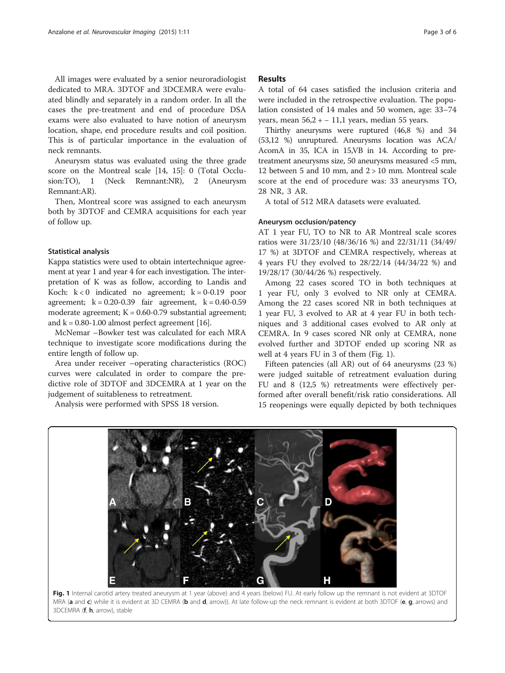All images were evaluated by a senior neuroradiologist dedicated to MRA. 3DTOF and 3DCEMRA were evaluated blindly and separately in a random order. In all the cases the pre-treatment and end of procedure DSA exams were also evaluated to have notion of aneurysm location, shape, end procedure results and coil position. This is of particular importance in the evaluation of neck remnants.

Aneurysm status was evaluated using the three grade score on the Montreal scale [\[14, 15\]](#page-5-0): 0 (Total Occlusion:TO), 1 (Neck Remnant:NR), 2 (Aneurysm Remnant:AR).

Then, Montreal score was assigned to each aneurysm both by 3DTOF and CEMRA acquisitions for each year of follow up.

#### Statistical analysis

Kappa statistics were used to obtain intertechnique agreement at year 1 and year 4 for each investigation. The interpretation of K was as follow, according to Landis and Koch:  $k < 0$  indicated no agreement;  $k = 0-0.19$  poor agreement;  $k = 0.20 - 0.39$  fair agreement,  $k = 0.40 - 0.59$ moderate agreement;  $K = 0.60 - 0.79$  substantial agreement; and  $k = 0.80 - 1.00$  almost perfect agreement [[16](#page-5-0)].

McNemar –Bowker test was calculated for each MRA technique to investigate score modifications during the entire length of follow up.

Area under receiver –operating characteristics (ROC) curves were calculated in order to compare the predictive role of 3DTOF and 3DCEMRA at 1 year on the judgement of suitableness to retreatment.

Analysis were performed with SPSS 18 version.

#### Results

A total of 64 cases satisfied the inclusion criteria and were included in the retrospective evaluation. The population consisted of 14 males and 50 women, age: 33–74 years, mean  $56,2 - 11,1$  years, median 55 years.

Thirthy aneurysms were ruptured (46,8 %) and 34 (53,12 %) unruptured. Aneurysms location was ACA/ AcomA in 35, ICA in 15,VB in 14. According to pretreatment aneurysms size, 50 aneurysms measured <5 mm, 12 between 5 and 10 mm, and  $2 > 10$  mm. Montreal scale score at the end of procedure was: 33 aneurysms TO, 28 NR, 3 AR.

A total of 512 MRA datasets were evaluated.

#### Aneurysm occlusion/patency

AT 1 year FU, TO to NR to AR Montreal scale scores ratios were 31/23/10 (48/36/16 %) and 22/31/11 (34/49/ 17 %) at 3DTOF and CEMRA respectively, whereas at 4 years FU they evolved to 28/22/14 (44/34/22 %) and 19/28/17 (30/44/26 %) respectively.

Among 22 cases scored TO in both techniques at 1 year FU, only 3 evolved to NR only at CEMRA. Among the 22 cases scored NR in both techniques at 1 year FU, 3 evolved to AR at 4 year FU in both techniques and 3 additional cases evolved to AR only at CEMRA. In 9 cases scored NR only at CEMRA, none evolved further and 3DTOF ended up scoring NR as well at 4 years FU in 3 of them (Fig. 1).

Fifteen patencies (all AR) out of 64 aneurysms (23 %) were judged suitable of retreatment evaluation during FU and 8 (12,5 %) retreatments were effectively performed after overall benefit/risk ratio considerations. All 15 reopenings were equally depicted by both techniques



Fig. 1 Internal carotid artery treated aneurysm at 1 year (above) and 4 years (below) FU. At early follow up the remnant is not evident at 3DTOF MRA (a and c) while it is evident at 3D CEMRA (b and d, arrow)). At late follow-up the neck remnant is evident at both 3DTOF (e, g, arrows) and 3DCEMRA (f, h, arrow), stable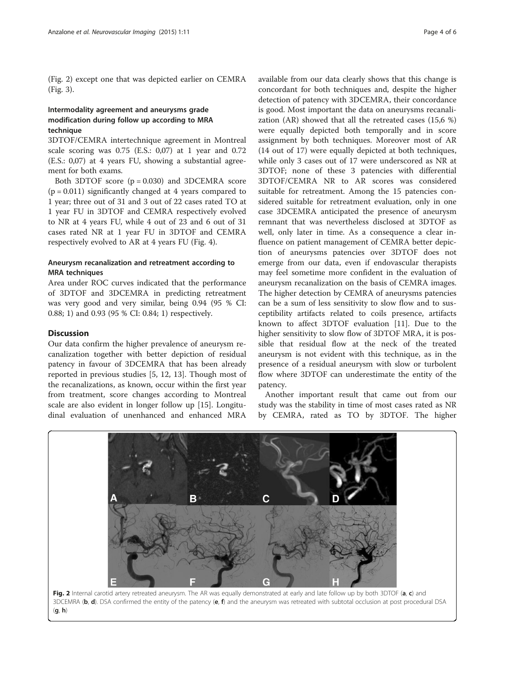(Fig. 2) except one that was depicted earlier on CEMRA (Fig. [3](#page-4-0)).

### Intermodality agreement and aneurysms grade modification during follow up according to MRA technique

3DTOF/CEMRA intertechnique agreement in Montreal scale scoring was 0.75 (E.S.: 0,07) at 1 year and 0.72 (E.S.: 0,07) at 4 years FU, showing a substantial agreement for both exams.

Both 3DTOF score  $(p = 0.030)$  and 3DCEMRA score  $(p = 0.011)$  significantly changed at 4 years compared to 1 year; three out of 31 and 3 out of 22 cases rated TO at 1 year FU in 3DTOF and CEMRA respectively evolved to NR at 4 years FU, while 4 out of 23 and 6 out of 31 cases rated NR at 1 year FU in 3DTOF and CEMRA respectively evolved to AR at 4 years FU (Fig. [4\)](#page-4-0).

#### Aneurysm recanalization and retreatment according to MRA techniques

Area under ROC curves indicated that the performance of 3DTOF and 3DCEMRA in predicting retreatment was very good and very similar, being 0.94 (95 % CI: 0.88; 1) and 0.93 (95 % CI: 0.84; 1) respectively.

#### **Discussion**

Our data confirm the higher prevalence of aneurysm recanalization together with better depiction of residual patency in favour of 3DCEMRA that has been already reported in previous studies [\[5, 12](#page-5-0), [13\]](#page-5-0). Though most of the recanalizations, as known, occur within the first year from treatment, score changes according to Montreal scale are also evident in longer follow up [\[15](#page-5-0)]. Longitudinal evaluation of unenhanced and enhanced MRA

available from our data clearly shows that this change is concordant for both techniques and, despite the higher detection of patency with 3DCEMRA, their concordance is good. Most important the data on aneurysms recanalization (AR) showed that all the retreated cases (15,6 %) were equally depicted both temporally and in score assignment by both techniques. Moreover most of AR (14 out of 17) were equally depicted at both techniques, while only 3 cases out of 17 were underscored as NR at 3DTOF; none of these 3 patencies with differential 3DTOF/CEMRA NR to AR scores was considered suitable for retreatment. Among the 15 patencies considered suitable for retreatment evaluation, only in one case 3DCEMRA anticipated the presence of aneurysm remnant that was nevertheless disclosed at 3DTOF as well, only later in time. As a consequence a clear influence on patient management of CEMRA better depiction of aneurysms patencies over 3DTOF does not emerge from our data, even if endovascular therapists may feel sometime more confident in the evaluation of aneurysm recanalization on the basis of CEMRA images. The higher detection by CEMRA of aneurysms patencies can be a sum of less sensitivity to slow flow and to susceptibility artifacts related to coils presence, artifacts known to affect 3DTOF evaluation [\[11\]](#page-5-0). Due to the higher sensitivity to slow flow of 3DTOF MRA, it is possible that residual flow at the neck of the treated aneurysm is not evident with this technique, as in the presence of a residual aneurysm with slow or turbolent flow where 3DTOF can underestimate the entity of the patency.

Another important result that came out from our study was the stability in time of most cases rated as NR by CEMRA, rated as TO by 3DTOF. The higher

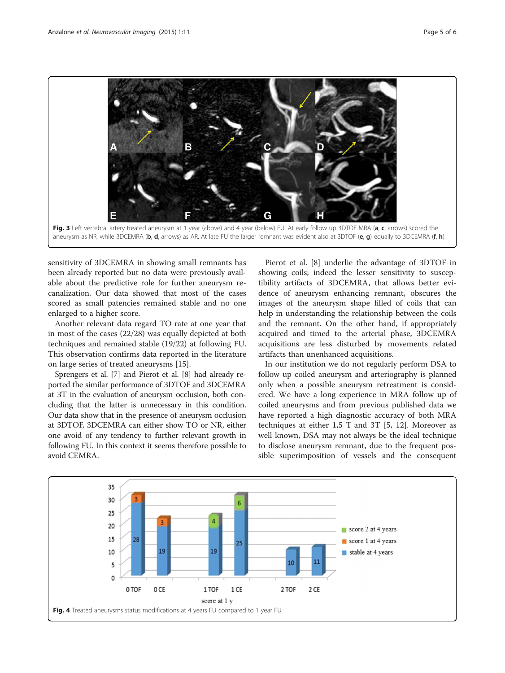<span id="page-4-0"></span>

sensitivity of 3DCEMRA in showing small remnants has been already reported but no data were previously available about the predictive role for further aneurysm recanalization. Our data showed that most of the cases scored as small patencies remained stable and no one enlarged to a higher score.

Another relevant data regard TO rate at one year that in most of the cases (22/28) was equally depicted at both techniques and remained stable (19/22) at following FU. This observation confirms data reported in the literature on large series of treated aneurysms [\[15\]](#page-5-0).

Sprengers et al. [\[7\]](#page-5-0) and Pierot et al. [[8](#page-5-0)] had already reported the similar performance of 3DTOF and 3DCEMRA at 3T in the evaluation of aneurysm occlusion, both concluding that the latter is unnecessary in this condition. Our data show that in the presence of aneurysm occlusion at 3DTOF, 3DCEMRA can either show TO or NR, either one avoid of any tendency to further relevant growth in following FU. In this context it seems therefore possible to avoid CEMRA.

Pierot et al. [\[8\]](#page-5-0) underlie the advantage of 3DTOF in showing coils; indeed the lesser sensitivity to susceptibility artifacts of 3DCEMRA, that allows better evidence of aneurysm enhancing remnant, obscures the images of the aneurysm shape filled of coils that can help in understanding the relationship between the coils and the remnant. On the other hand, if appropriately acquired and timed to the arterial phase, 3DCEMRA acquisitions are less disturbed by movements related artifacts than unenhanced acquisitions.

In our institution we do not regularly perform DSA to follow up coiled aneurysm and arteriography is planned only when a possible aneurysm retreatment is considered. We have a long experience in MRA follow up of coiled aneurysms and from previous published data we have reported a high diagnostic accuracy of both MRA techniques at either 1,5 T and 3T [[5, 12\]](#page-5-0). Moreover as well known, DSA may not always be the ideal technique to disclose aneurysm remnant, due to the frequent possible superimposition of vessels and the consequent